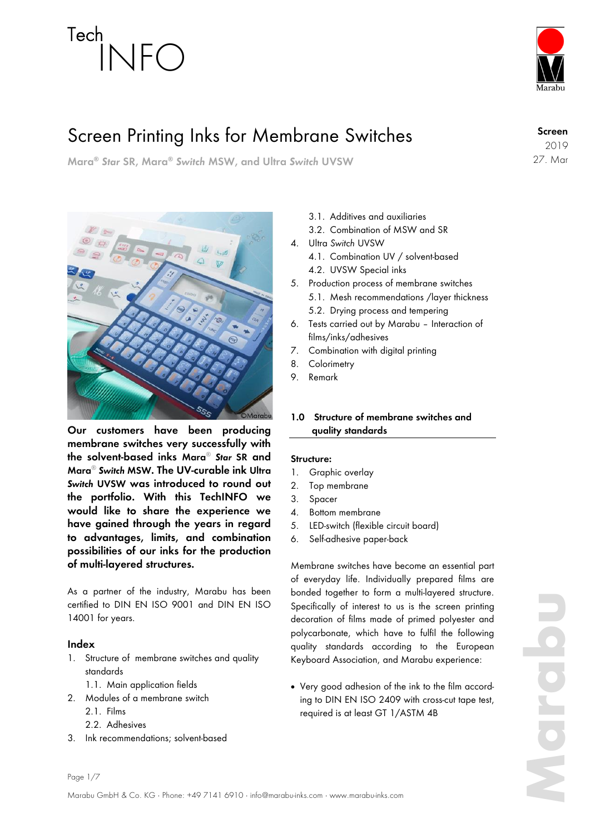

# Screen Printing Inks for Membrane Switches

**Mara®** *Star* **SR, Mara®** *Switch* **MSW, and Ultra** *Switch* **UVSW**



**Our customers have been producing membrane switches very successfully with the solvent-based inks Mara®** *Star* **SR and Mara®** *Switch* **MSW. The UV-curable ink Ultra**  *Switch* **UVSW was introduced to round out the portfolio. With this TechINFO we would like to share the experience we have gained through the years in regard to advantages, limits, and combination possibilities of our inks for the production of multi-layered structures.**

As a partner of the industry, Marabu has been certified to DIN EN ISO 9001 and DIN EN ISO 14001 for years.

# **Index**

- 1. Structure of membrane switches and quality standards
	- 1.1. Main application fields
- 2. Modules of a membrane switch
	- 2.1. Films
	- 2.2. Adhesives
- 3. Ink recommendations; solvent-based
- 3.1. Additives and auxiliaries
- 3.2. Combination of MSW and SR
- 4. Ultra *Switch* UVSW
	- 4.1. Combination UV / solvent-based
	- 4.2. UVSW Special inks
- 5. Production process of membrane switches
	- 5.1. Mesh recommendations /layer thickness 5.2. Drying process and tempering
- 6. Tests carried out by Marabu Interaction of films/inks/adhesives
- 7. Combination with digital printing
- 8. Colorimetry
- 9. Remark

# **1.0 Structure of membrane switches and quality standards**

#### **Structure:**

- 1. Graphic overlay
- 2. Top membrane
- 3. Spacer
- 4. Bottom membrane
- 5. LED-switch (flexible circuit board)
- 6. Self-adhesive paper-back

Membrane switches have become an essential part of everyday life. Individually prepared films are bonded together to form a multi-layered structure. Specifically of interest to us is the screen printing decoration of films made of primed polyester and polycarbonate, which have to fulfil the following quality standards according to the European Keyboard Association, and Marabu experience:

 Very good adhesion of the ink to the film according to DIN EN ISO 2409 with cross-cut tape test, required is at least GT 1/ASTM 4B

Page 1/7

**Screen**

2019 27. Mar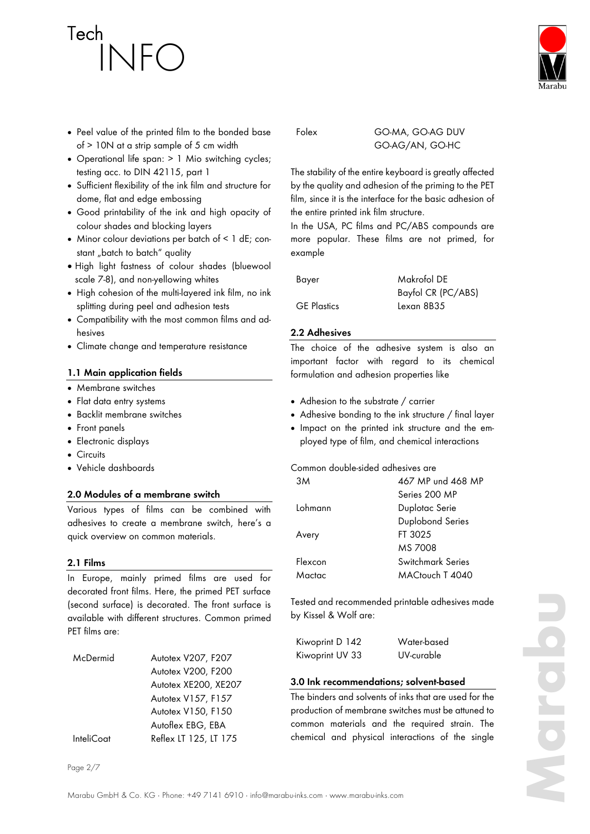

- Operational life span: > 1 Mio switching cycles; testing acc. to DIN 42115, part 1
- Sufficient flexibility of the ink film and structure for dome, flat and edge embossing
- Good printability of the ink and high opacity of colour shades and blocking layers
- Minor colour deviations per batch of < 1 dE; constant "batch to batch" quality
- $\bullet$  High light fastness of colour shades (bluewool scale 7-8), and non-yellowing whites
- High cohesion of the multi-layered ink film, no ink splitting during peel and adhesion tests
- Compatibility with the most common films and adhesives
- Climate change and temperature resistance

#### **1.1 Main application fields**

- Membrane switches
- Flat data entry systems
- Backlit membrane switches
- Front panels
- Electronic displays
- Circuits
- Vehicle dashboards

#### **2.0 Modules of a membrane switch**

Various types of films can be combined with adhesives to create a membrane switch, here's a quick overview on common materials.

#### **2.1 Films**

In Europe, mainly primed films are used for decorated front films. Here, the primed PET surface (second surface) is decorated. The front surface is available with different structures. Common primed PET films are:

| McDermid          | Autotex V207, F207    |
|-------------------|-----------------------|
|                   | Autotex V200, F200    |
|                   | Autotex XE200, XE207  |
|                   | Autotex V157, F157    |
|                   | Autotex V150, F150    |
|                   | Autoflex EBG, EBA     |
| <b>InteliCoat</b> | Reflex LT 125, LT 175 |

Page 2/7

# Folex GO-MA, GO-AG DUV GO-AG/AN, GO-HC

The stability of the entire keyboard is greatly affected by the quality and adhesion of the priming to the PET film, since it is the interface for the basic adhesion of the entire printed ink film structure.

In the USA, PC films and PC/ABS compounds are more popular. These films are not primed, for example

Bayer Makrofol DE Bayfol CR (PC/ABS) GE Plastics Lexan 8B35

#### **2.2 Adhesives**

The choice of the adhesive system is also an important factor with regard to its chemical formulation and adhesion properties like

- Adhesion to the substrate / carrier
- Adhesive bonding to the ink structure / final layer
- Impact on the printed ink structure and the employed type of film, and chemical interactions

#### Common double-sided adhesives are

| 3M      | 467 MP und 468 MP |  |
|---------|-------------------|--|
|         | Series 200 MP     |  |
| Lohmann | Duplotac Serie    |  |
|         | Duplobond Series  |  |
| Avery   | FT 3025           |  |
|         | MS 7008           |  |
| Flexcon | Switchmark Series |  |
| Mactac  | MACtouch T 4040   |  |
|         |                   |  |

Tested and recommended printable adhesives made by Kissel & Wolf are:

| Kiwoprint D 142 | Water-based |
|-----------------|-------------|
| Kiwoprint UV 33 | UV-curable  |

#### **3.0 Ink recommendations; solvent-based**

The binders and solvents of inks that are used for the production of membrane switches must be attuned to common materials and the required strain. The chemical and physical interactions of the single

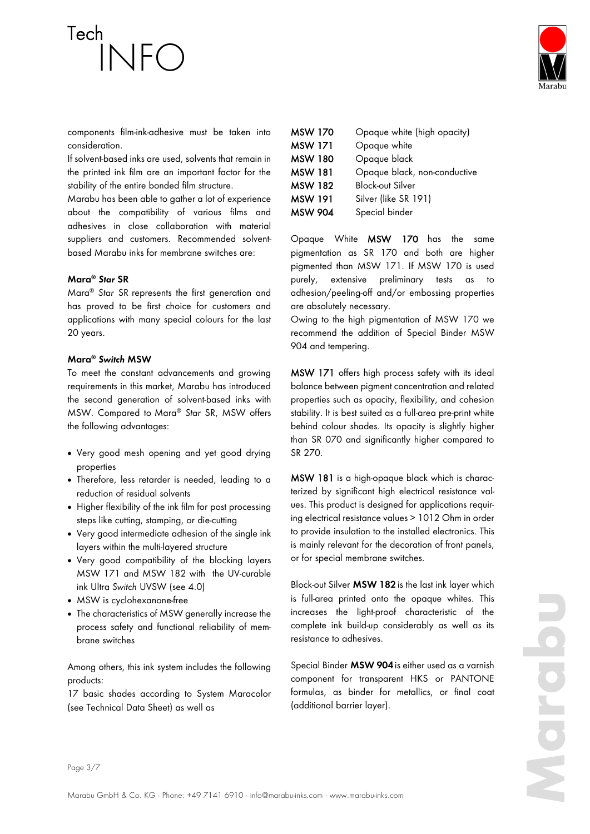components film-ink-adhesive must be taken into consideration.

If solvent-based inks are used, solvents that remain in the printed ink film are an important factor for the stability of the entire bonded film structure.

Marabu has been able to gather a lot of experience about the compatibility of various films and adhesives in close collaboration with material suppliers and customers. Recommended solventbased Marabu inks for membrane switches are:

# **Mara®** *Star* **SR**

Mara® *Star* SR represents the first generation and has proved to be first choice for customers and applications with many special colours for the last 20 years.

#### **Mara®** *Switch* **MSW**

To meet the constant advancements and growing requirements in this market, Marabu has introduced the second generation of solvent-based inks with MSW. Compared to Mara® *Star* SR, MSW offers the following advantages:

- Very good mesh opening and yet good drying properties
- Therefore, less retarder is needed, leading to a reduction of residual solvents
- Higher flexibility of the ink film for post processing steps like cutting, stamping, or die-cutting
- Very good intermediate adhesion of the single ink layers within the multi-layered structure
- Very good compatibility of the blocking layers MSW 171 and MSW 182 with the UV-curable ink Ultra *Switch* UVSW (see 4.0)
- MSW is cyclohexanone-free
- The characteristics of MSW generally increase the process safety and functional reliability of membrane switches

Among others, this ink system includes the following products:

17 basic shades according to System Maracolor (see Technical Data Sheet) as well as

| <b>MSW 170</b> | Opaque white (high opacity)  |
|----------------|------------------------------|
| <b>MSW 171</b> | Opaque white                 |
| MSW 180        | Opaque black                 |
| MSW 181        | Opaque black, non-conductive |
| MSW 182        | <b>Block-out Silver</b>      |
| <b>MSW 191</b> | Silver (like SR 191)         |
| <b>MSW 904</b> | Special binder               |

Opaque White MSW 170 has the same pigmentation as SR 170 and both are higher pigmented than MSW 171. If MSW 170 is used purely, extensive preliminary tests as to adhesion/peeling-off and/or embossing properties are absolutely necessary.

Owing to the high pigmentation of MSW 170 we recommend the addition of Special Binder MSW 904 and tempering.

MSW 171 offers high process safety with its ideal balance between pigment concentration and related properties such as opacity, flexibility, and cohesion stability. It is best suited as a full-area pre-print white behind colour shades. Its opacity is slightly higher than SR 070 and significantly higher compared to SR 270.

MSW 181 is a high-opaque black which is characterized by significant high electrical resistance values. This product is designed for applications requiring electrical resistance values > 1012 Ohm in order to provide insulation to the installed electronics. This is mainly relevant for the decoration of front panels, or for special membrane switches.

Block-out Silver **MSW 182** is the last ink layer which is full-area printed onto the opaque whites. This increases the light-proof characteristic of the complete ink build-up considerably as well as its resistance to adhesives.

Special Binder **MSW 904** is either used as a varnish component for transparent HKS or PANTONE formulas, as binder for metallics, or final coat (additional barrier layer).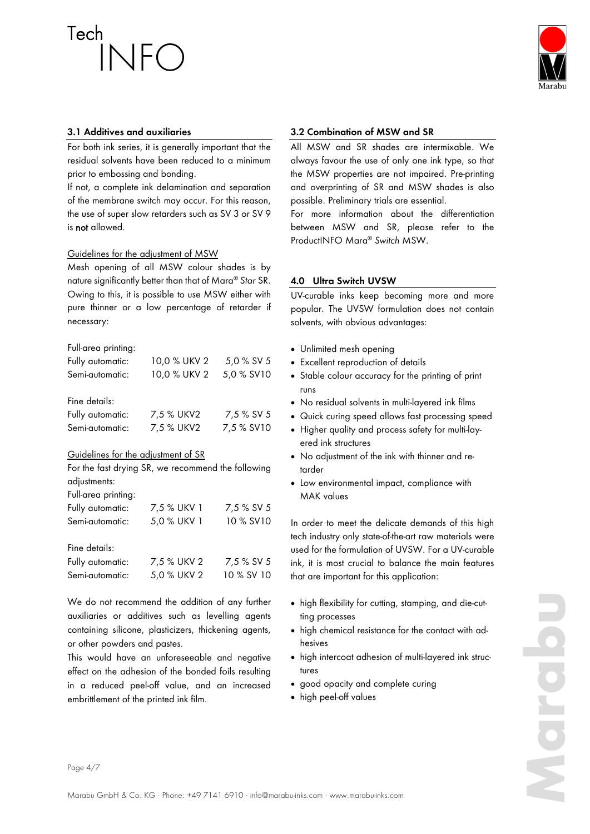

# **3.1 Additives and auxiliaries**

For both ink series, it is generally important that the residual solvents have been reduced to a minimum prior to embossing and bonding.

If not, a complete ink delamination and separation of the membrane switch may occur. For this reason, the use of super slow retarders such as SV 3 or SV 9 is not allowed.

#### Guidelines for the adjustment of MSW

Mesh opening of all MSW colour shades is by nature significantly better than that of Mara® *Star* SR. Owing to this, it is possible to use MSW either with pure thinner or a low percentage of retarder if necessary:

# Full-area printing:

| Fully automatic: | 10,0 % UKV 2 | 5,0 % SV 5 |
|------------------|--------------|------------|
| Semi-automatic:  | 10,0 % UKV 2 | 5,0 % SV10 |
| Fine details:    |              |            |
| Fully automatic: | 7,5 % UKV2   | 7,5 % SV 5 |
| Semi-automatic:  | 7,5 % UKV2   | 7,5 % SV10 |

#### Guidelines for the adjustment of SR

| For the fast drying SR, we recommend the following |
|----------------------------------------------------|
| adjustments:                                       |
| المستنقش والمستحدث والمنادي                        |

| Tuitarea priming. |             |            |
|-------------------|-------------|------------|
| Fully automatic:  | 7,5 % UKV 1 | 7,5 % SV 5 |
| Semi-automatic:   | 5.0 % UKV 1 | 10 % SV10  |
| Fine details:     |             |            |

| .                |             |            |
|------------------|-------------|------------|
| Fully automatic: | 7,5 % UKV 2 | 7,5 % SV 5 |
| Semi-automatic:  | 5,0 % UKV 2 | 10 % SV 10 |

We do not recommend the addition of any further auxiliaries or additives such as levelling agents containing silicone, plasticizers, thickening agents, or other powders and pastes.

This would have an unforeseeable and negative effect on the adhesion of the bonded foils resulting in a reduced peel-off value, and an increased embrittlement of the printed ink film.

#### **3.2 Combination of MSW and SR**

All MSW and SR shades are intermixable. We always favour the use of only one ink type, so that the MSW properties are not impaired. Pre-printing and overprinting of SR and MSW shades is also possible. Preliminary trials are essential.

For more information about the differentiation between MSW and SR, please refer to the ProductINFO Mara® *Switch* MSW.

# **4.0 Ultra Switch UVSW**

UV-curable inks keep becoming more and more popular. The UVSW formulation does not contain solvents, with obvious advantages:

- Unlimited mesh opening
- Excellent reproduction of details
- Stable colour accuracy for the printing of print runs
- No residual solvents in multi-layered ink films
- Quick curing speed allows fast processing speed
- Higher quality and process safety for multi-layered ink structures
- No adjustment of the ink with thinner and retarder
- Low environmental impact, compliance with MAK values

In order to meet the delicate demands of this high tech industry only state-of-the-art raw materials were used for the formulation of UVSW. For a UV-curable ink, it is most crucial to balance the main features that are important for this application:

- high flexibility for cutting, stamping, and die-cutting processes
- high chemical resistance for the contact with adhesives
- high intercoat adhesion of multi-layered ink structures
- good opacity and complete curing
- high peel-off values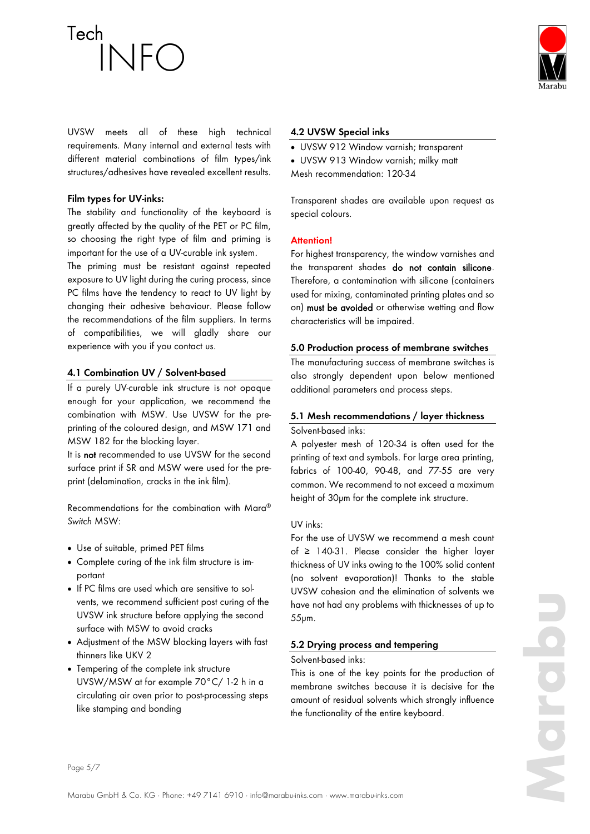

UVSW meets all of these high technical requirements. Many internal and external tests with different material combinations of film types/ink structures/adhesives have revealed excellent results.

# **Film types for UV-inks:**

The stability and functionality of the keyboard is greatly affected by the quality of the PET or PC film, so choosing the right type of film and priming is important for the use of a UV-curable ink system.

The priming must be resistant against repeated exposure to UV light during the curing process, since PC films have the tendency to react to UV light by changing their adhesive behaviour. Please follow the recommendations of the film suppliers. In terms of compatibilities, we will gladly share our experience with you if you contact us.

# **4.1 Combination UV / Solvent-based**

If a purely UV-curable ink structure is not opaque enough for your application, we recommend the combination with MSW. Use UVSW for the preprinting of the coloured design, and MSW 171 and MSW 182 for the blocking layer.

It is not recommended to use UVSW for the second surface print if SR and MSW were used for the preprint (delamination, cracks in the ink film).

Recommendations for the combination with Mara® *Switch* MSW:

- Use of suitable, primed PET films
- Complete curing of the ink film structure is important
- If PC films are used which are sensitive to solvents, we recommend sufficient post curing of the UVSW ink structure before applying the second surface with MSW to avoid cracks
- Adjustment of the MSW blocking layers with fast thinners like UKV 2
- Tempering of the complete ink structure UVSW/MSW at for example 70°C/ 1-2 h in a circulating air oven prior to post-processing steps like stamping and bonding

#### **4.2 UVSW Special inks**

- UVSW 912 Window varnish; transparent
- UVSW 913 Window varnish; milky matt
	- Mesh recommendation: 120-34

Transparent shades are available upon request as special colours.

#### **Attention!**

For highest transparency, the window varnishes and the transparent shades do not contain silicone. Therefore, a contamination with silicone (containers used for mixing, contaminated printing plates and so on) must be avoided or otherwise wetting and flow characteristics will be impaired.

#### **5.0 Production process of membrane switches**

The manufacturing success of membrane switches is also strongly dependent upon below mentioned additional parameters and process steps.

#### **5.1 Mesh recommendations / layer thickness**  Solvent-based inks:

A polyester mesh of 120-34 is often used for the printing of text and symbols. For large area printing, fabrics of 100-40, 90-48, and 77-55 are very common. We recommend to not exceed a maximum height of 30µm for the complete ink structure.

#### UV inks:

For the use of UVSW we recommend a mesh count of  $\geq$  140-31. Please consider the higher layer thickness of UV inks owing to the 100% solid content (no solvent evaporation)! Thanks to the stable UVSW cohesion and the elimination of solvents we have not had any problems with thicknesses of up to 55µm.

#### **5.2 Drying process and tempering**

#### Solvent-based inks:

This is one of the key points for the production of membrane switches because it is decisive for the amount of residual solvents which strongly influence the functionality of the entire keyboard.

Page 5/7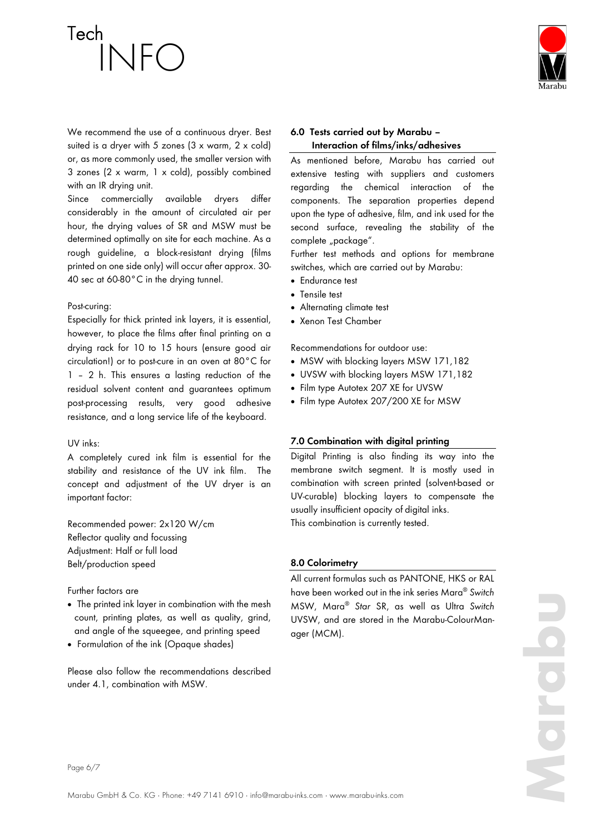We recommend the use of a continuous dryer. Best suited is a dryer with 5 zones (3 x warm, 2 x cold) or, as more commonly used, the smaller version with 3 zones (2 x warm, 1 x cold), possibly combined with an IR drying unit.

Since commercially available dryers differ considerably in the amount of circulated air per hour, the drying values of SR and MSW must be determined optimally on site for each machine. As a rough guideline, a block-resistant drying (films printed on one side only) will occur after approx. 30- 40 sec at 60-80°C in the drying tunnel.

#### Post-curing:

Especially for thick printed ink layers, it is essential, however, to place the films after final printing on a drying rack for 10 to 15 hours (ensure good air circulation!) or to post-cure in an oven at 80°C for 1 – 2 h. This ensures a lasting reduction of the residual solvent content and guarantees optimum post-processing results, very good adhesive resistance, and a long service life of the keyboard.

#### UV inks:

A completely cured ink film is essential for the stability and resistance of the UV ink film. The concept and adjustment of the UV dryer is an important factor:

Recommended power: 2x120 W/cm Reflector quality and focussing Adjustment: Half or full load Belt/production speed

Further factors are

- The printed ink layer in combination with the mesh count, printing plates, as well as quality, grind, and angle of the squeegee, and printing speed
- Formulation of the ink (Opaque shades)

Please also follow the recommendations described under 4.1, combination with MSW.

# **6.0 Tests carried out by Marabu – Interaction of films/inks/adhesives**

As mentioned before, Marabu has carried out extensive testing with suppliers and customers regarding the chemical interaction of the components. The separation properties depend upon the type of adhesive, film, and ink used for the second surface, revealing the stability of the complete "package".

Further test methods and options for membrane switches, which are carried out by Marabu:

- **•** Endurance test
- Tensile test
- Alternating climate test
- Xenon Test Chamber

Recommendations for outdoor use:

- MSW with blocking layers MSW 171,182
- UVSW with blocking layers MSW 171,182
- Film type Autotex 207 XE for UVSW
- Film type Autotex 207/200 XE for MSW

# **7.0 Combination with digital printing**

Digital Printing is also finding its way into the membrane switch segment. It is mostly used in combination with screen printed (solvent-based or UV-curable) blocking layers to compensate the usually insufficient opacity of digital inks. This combination is currently tested.

# **8.0 Colorimetry**

All current formulas such as PANTONE, HKS or RAL have been worked out in the ink series Mara® *Switch* MSW, Mara® *Star* SR, as well as Ultra *Switch* UVSW, and are stored in the Marabu-ColourManager (MCM).

Page 6/7